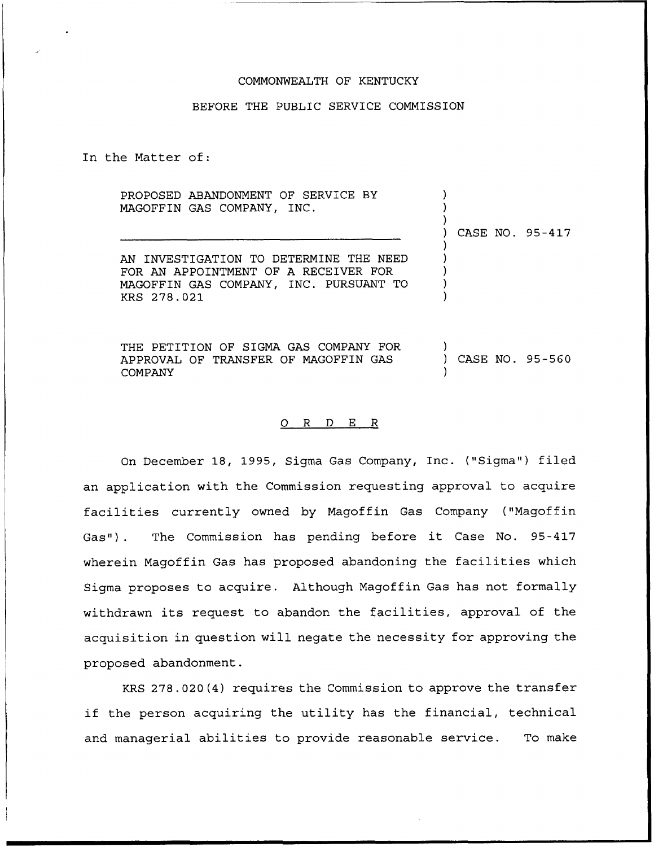## COMMONWEALTH OF KENTUCKY

## BEFORE THE PUBLIC SERVICE COMMISSION

In the Matter of:

| PROPOSED ABANDONMENT OF SERVICE BY<br>MAGOFFIN GAS COMPANY, INC.                                                                        |                 |
|-----------------------------------------------------------------------------------------------------------------------------------------|-----------------|
|                                                                                                                                         | CASE NO. 95-417 |
| AN INVESTIGATION TO DETERMINE THE NEED<br>FOR AN APPOINTMENT OF A RECEIVER FOR<br>MAGOFFIN GAS COMPANY, INC. PURSUANT TO<br>KRS 278.021 |                 |
| THE PETITION OF SIGMA GAS COMPANY FOR<br>APPROVAL OF TRANSFER OF MAGOFFIN GAS<br>COMPANY                                                | CASE NO. 95-560 |

## 0 <sup>R</sup> <sup>D</sup> E <sup>R</sup>

On December 18, 1995, Sigma Gas Company, Inc. ("Sigma") filed an application with the Commission requesting approval to acquire facilities currently owned by Magoffin Gas Company ("Magoffin Gas"). The Commission has pending before it Case No. 95-417 wherein Magoffin Gas has proposed abandoning the facilities which Sigma proposes to acquire. Although Magoffin Gas has not formally withdrawn its request to abandon the facilities, approval of the acquisition in question will negate the necessity for approving the proposed abandonment.

KRS 278.020(4) requires the Commission to approve the transfer if the person acquiring the utility has the financial, technical and managerial abilities to provide reasonable service. To make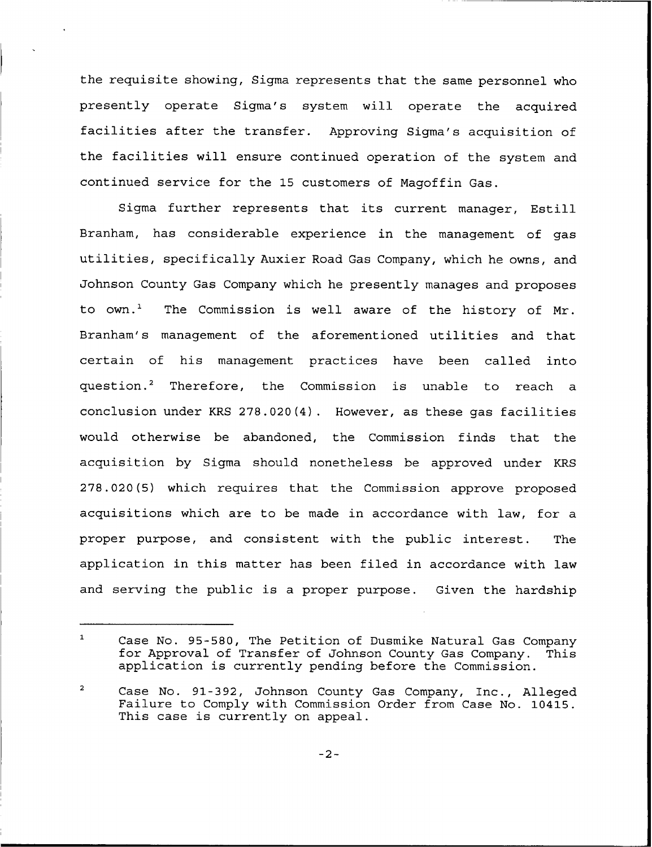the requisite showing, Sigma represents that the same personnel who presently operate Sigma's system will operate the acquired facilities after the transfer. Approving Sigma's acquisition of the facilities will ensure continued operation of the system and continued service for the 15 customers of Magoffin Gas.

Sigma further represents that its current manager, Estill Branham, has considerable experience in the management of gas utilities, specifically Auxier Road Gas Company, which he owns, and Johnson County Gas Company which he presently manages and proposes to  $own.^1$  The Commission is well aware of the history of Mr. Branham's management of the aforementioned utilities and that certain of his management practices have been called into question.<sup>2</sup> Therefore, the Commission is unable to reach a conclusion under KRS 278.020(4). However, as these gas facilities would otherwise be abandoned, the Commission finds that the acquisition by Sigma should nonetheless be approved under KRS 278.020(5) which requires that the Commission approve proposed acquisitions which are to be made in accordance with law, for a proper purpose, and consistent with the public interest. The application in this matter has been filed in accordance with law and serving the public is a proper purpose. Given the hardship

 $\mathbf{1}$ Case No. 95-580, The Petition of Dusmike Natural Gas Company for Approval of Transfer of Johnson County Gas Company. This application is currently pending before the Commission.

 $\mathbf{2}$ Case No. 91-392, Johnson County Gas Company, Inc., Alleged Failure to Comply with Commission Order from Case No. 10415. This case is currently on appeal.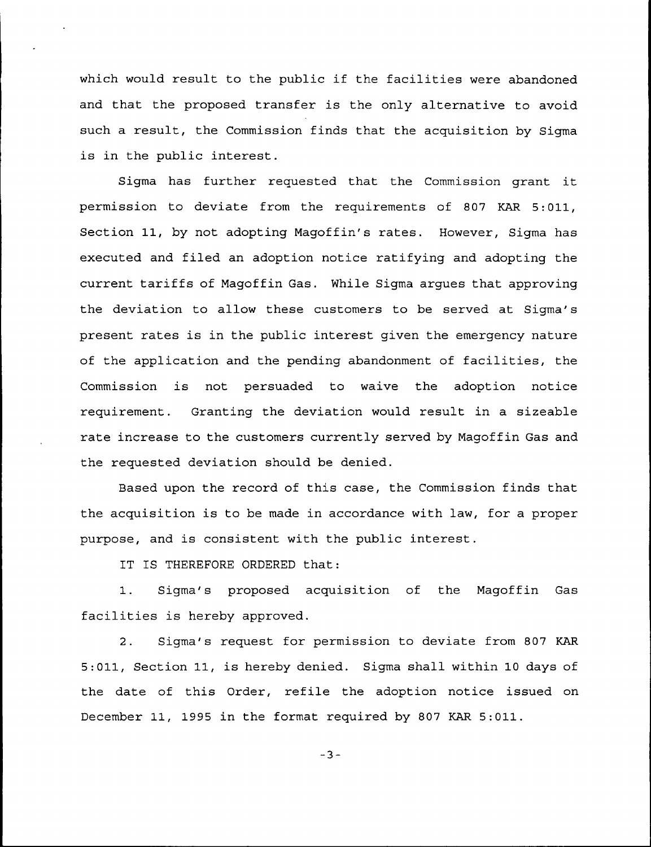which would result to the public if the facilities were abandoned and that the proposed transfer is the only alternative to avoid such a result, the Commission finds that the acquisition by Sigma is in the public interest.

Sigma has further requested that the Commission grant it permission to deviate from the requirements of 807 KAR 5:011, Section 11, by not adopting Magoffin's rates. However, Sigma has executed and filed an adoption notice ratifying and adopting the current tariffs of Magoffin Gas. While Sigma argues that approving the deviation to allow these customers to be served at Sigma's present rates is in the public interest given the emergency nature of the application and the pending abandonment of facilities, the Commission is not persuaded to waive the adoption notice requirement. Granting the deviation would result in a sizeable rate increase to the customers currently served by Magoffin Gas and the requested deviation should be denied.

Based upon the record of this case, the Commission finds that the acquisition is to be made in accordance with law, for a proper purpose, and is consistent with the public interest.

IT IS THEREFORE ORDERED that:

1. Sigma's proposed acquisition of the Magoffin Gas facilities is hereby approved.

2. Sigma's request for permission to deviate from 807 KAR 5:011, Section 11, is hereby denied. Sigma shall within 10 days of the date of this Order, refile the adoption notice issued on December 11, 1995 in the format required by 807 KAR 5:011.

 $-3-$